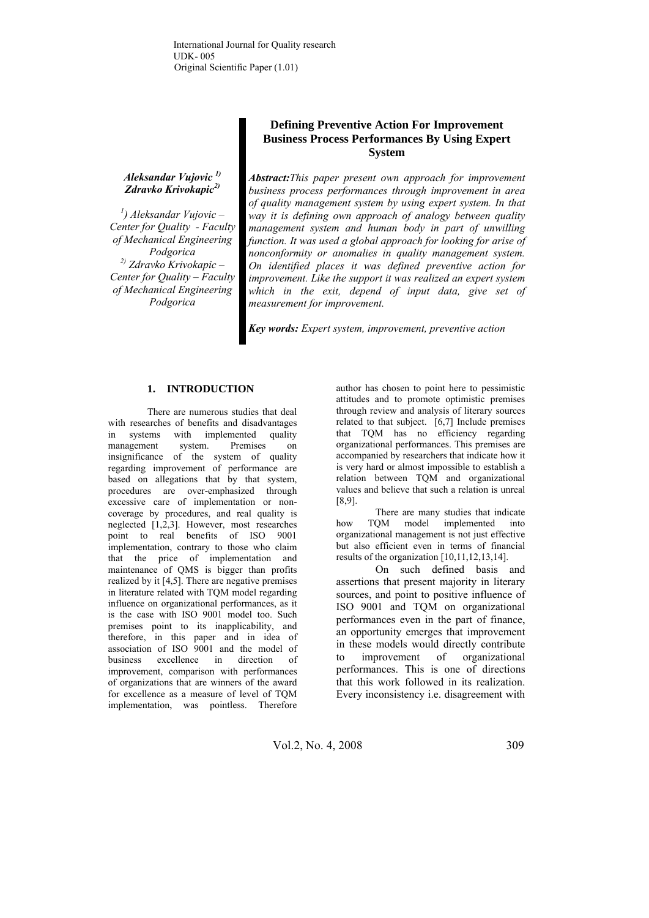### *Aleksandar Vujovic 1) Zdravko Krivokapic2)*

*1 ) Aleksandar Vujovic – Center for Quality - Faculty of Mechanical Engineering Podgorica 2) Zdravko Krivokapic – Center for Quality – Faculty of Mechanical Engineering Podgorica* 

# **Defining Preventive Action For Improvement Business Process Performances By Using Expert System**

*Abstract:This paper present own approach for improvement business process performances through improvement in area of quality management system by using expert system. In that way it is defining own approach of analogy between quality management system and human body in part of unwilling function. It was used a global approach for looking for arise of nonconformity or anomalies in quality management system. On identified places it was defined preventive action for improvement. Like the support it was realized an expert system which in the exit, depend of input data, give set of measurement for improvement.* 

*Key words: Expert system, improvement, preventive action* 

## **1. INTRODUCTION**

There are numerous studies that deal with researches of benefits and disadvantages in systems with implemented quality management system. Premises on insignificance of the system of quality regarding improvement of performance are based on allegations that by that system, procedures are over-emphasized through excessive care of implementation or noncoverage by procedures, and real quality is neglected [1,2,3]. However, most researches point to real benefits of ISO 9001 implementation, contrary to those who claim that the price of implementation and maintenance of QMS is bigger than profits realized by it [4,5]. There are negative premises in literature related with TQM model regarding influence on organizational performances, as it is the case with ISO 9001 model too. Such premises point to its inapplicability, and therefore, in this paper and in idea of association of ISO 9001 and the model of business excellence in direction of improvement, comparison with performances of organizations that are winners of the award for excellence as a measure of level of TQM implementation, was pointless. Therefore

author has chosen to point here to pessimistic attitudes and to promote optimistic premises through review and analysis of literary sources related to that subject. [6,7] Include premises that TQM has no efficiency regarding organizational performances. This premises are accompanied by researchers that indicate how it is very hard or almost impossible to establish a relation between TQM and organizational values and believe that such a relation is unreal [8,9].

There are many studies that indicate how TQM model implemented into organizational management is not just effective but also efficient even in terms of financial results of the organization [10,11,12,13,14].

On such defined basis and assertions that present majority in literary sources, and point to positive influence of ISO 9001 and TQM on organizational performances even in the part of finance, an opportunity emerges that improvement in these models would directly contribute to improvement of organizational performances. This is one of directions that this work followed in its realization. Every inconsistency i.e. disagreement with

Vol.2, No. 4, 2008 309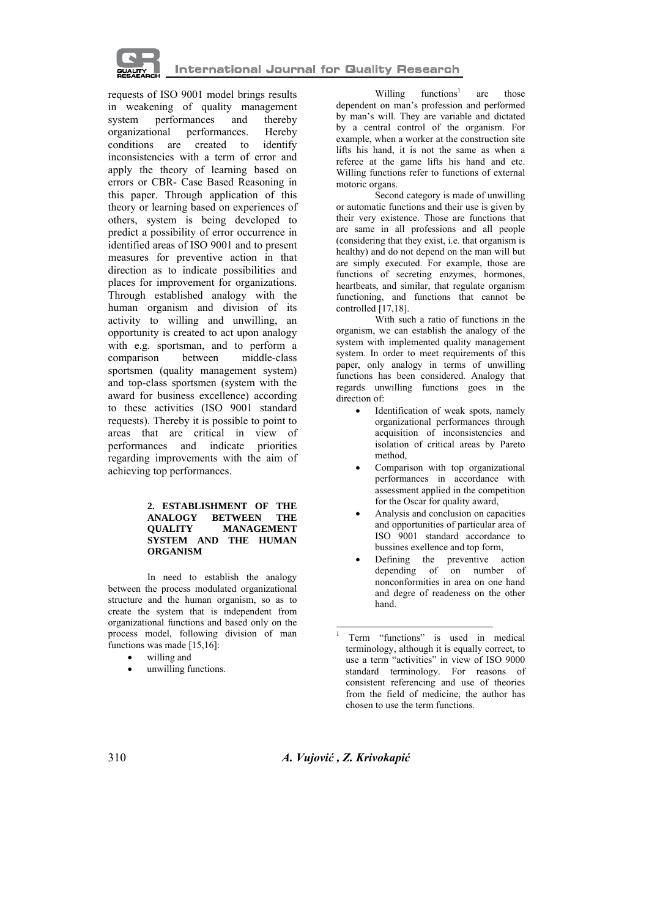

requests of ISO 9001 model brings results in weakening of quality management system performances and thereby organizational performances. Hereby conditions are created to identify inconsistencies with a term of error and apply the theory of learning based on errors or CBR- Case Based Reasoning in this paper. Through application of this theory or learning based on experiences of others, system is being developed to predict a possibility of error occurrence in identified areas of ISO 9001 and to present measures for preventive action in that direction as to indicate possibilities and places for improvement for organizations. Through established analogy with the human organism and division of its activity to willing and unwilling, an opportunity is created to act upon analogy with e.g. sportsman, and to perform a comparison between middle-class sportsmen (quality management system) and top-class sportsmen (system with the award for business excellence) according to these activities (ISO 9001 standard requests). Thereby it is possible to point to areas that are critical in view of performances and indicate priorities regarding improvements with the aim of achieving top performances.

#### **2. ESTABLISHMENT OF THE ANALOGY BETWEEN THE QUALITY MANAGEMENT SYSTEM AND THE HUMAN ORGANISM**

In need to establish the analogy between the process modulated organizational structure and the human organism, so as to create the system that is independent from organizational functions and based only on the process model, following division of man functions was made [15,16]:

- willing and
- unwilling functions.

Willing functions<sup>1</sup> are those dependent on man's profession and performed by man's will. They are variable and dictated by a central control of the organism. For example, when a worker at the construction site lifts his hand, it is not the same as when a referee at the game lifts his hand and etc. Willing functions refer to functions of external motoric organs.

Second category is made of unwilling or automatic functions and their use is given by their very existence. Those are functions that are same in all professions and all people (considering that they exist, i.e. that organism is healthy) and do not depend on the man will but are simply executed. For example, those are functions of secreting enzymes, hormones, heartbeats, and similar, that regulate organism functioning, and functions that cannot be controlled [17,18].

With such a ratio of functions in the organism, we can establish the analogy of the system with implemented quality management system. In order to meet requirements of this paper, only analogy in terms of unwilling functions has been considered. Analogy that regards unwilling functions goes in the direction of:

- Identification of weak spots, namely organizational performances through acquisition of inconsistencies and isolation of critical areas by Pareto method,
- Comparison with top organizational performances in accordance with assessment applied in the competition for the Oscar for quality award,
- Analysis and conclusion on capacities and opportunities of particular area of ISO 9001 standard accordance to bussines exellence and top form,
- Defining the preventive action depending of on number of nonconformities in area on one hand and degre of readeness on the other hand.

310 *A. Vujović , Z. Krivokapić* 

1

<sup>1</sup> Term "functions" is used in medical terminology, although it is equally correct, to use a term "activities" in view of ISO 9000 standard terminology. For reasons of consistent referencing and use of theories from the field of medicine, the author has chosen to use the term functions.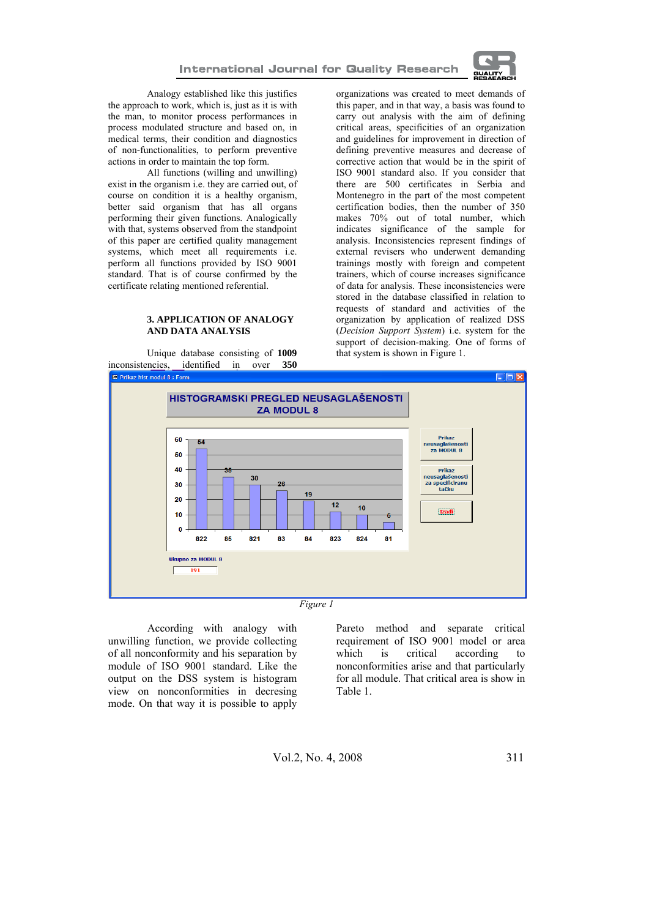

Analogy established like this justifies the approach to work, which is, just as it is with the man, to monitor process performances in process modulated structure and based on, in medical terms, their condition and diagnostics of non-functionalities, to perform preventive actions in order to maintain the top form.

All functions (willing and unwilling) exist in the organism i.e. they are carried out, of course on condition it is a healthy organism, better said organism that has all organs performing their given functions. Analogically with that, systems observed from the standpoint of this paper are certified quality management systems, which meet all requirements i.e. perform all functions provided by ISO 9001 standard. That is of course confirmed by the certificate relating mentioned referential.

#### **3. APPLICATION OF ANALOGY AND DATA ANALYSIS**

Unique database consisting of **1009** inconsistencies, identified in over **350** organizations was created to meet demands of this paper, and in that way, a basis was found to carry out analysis with the aim of defining critical areas, specificities of an organization and guidelines for improvement in direction of defining preventive measures and decrease of corrective action that would be in the spirit of ISO 9001 standard also. If you consider that there are 500 certificates in Serbia and Montenegro in the part of the most competent certification bodies, then the number of 350 makes 70% out of total number, which indicates significance of the sample for analysis. Inconsistencies represent findings of external revisers who underwent demanding trainings mostly with foreign and competent trainers, which of course increases significance of data for analysis. These inconsistencies were stored in the database classified in relation to requests of standard and activities of the organization by application of realized DSS (*Decision Support System*) i.e. system for the support of decision-making. One of forms of that system is shown in Figure 1.



*Figure 1*

According with analogy with unwilling function, we provide collecting of all nonconformity and his separation by module of ISO 9001 standard. Like the output on the DSS system is histogram view on nonconformities in decresing mode. On that way it is possible to apply

Pareto method and separate critical requirement of ISO 9001 model or area which is critical according to nonconformities arise and that particularly for all module. That critical area is show in Table 1.

$$
Vol.2, No. 4, 2008
$$
 311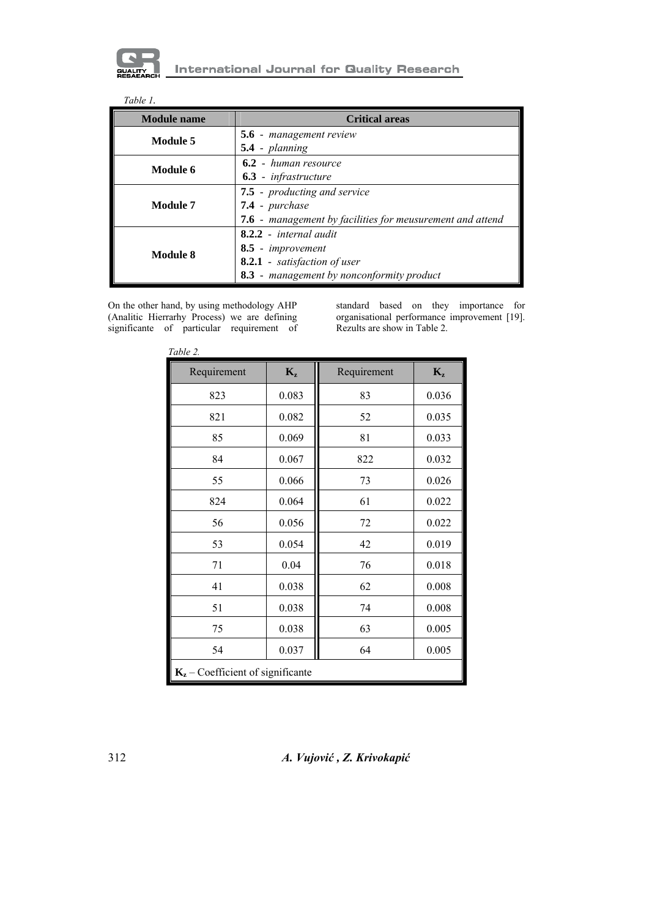

| <b>Module</b> name | <b>Critical areas</b>                                            |  |  |
|--------------------|------------------------------------------------------------------|--|--|
| Module 5           | <b>5.6</b> - management review                                   |  |  |
|                    | $5.4$ - planning                                                 |  |  |
| Module 6           | 6.2 - human resource                                             |  |  |
|                    | <b>6.3</b> - infrastructure                                      |  |  |
| Module 7           | 7.5 - producting and service                                     |  |  |
|                    | 7.4 - purchase                                                   |  |  |
|                    | <b>7.6</b> - management by facilities for meusurement and attend |  |  |
| Module 8           | $8.2.2$ - internal audit                                         |  |  |
|                    | 8.5 - improvement                                                |  |  |
|                    | 8.2.1 - satisfaction of user                                     |  |  |
|                    | 8.3 - management by nonconformity product                        |  |  |

On the other hand, by using methodology AHP (Analitic Hierrarhy Process) we are defining significante of particular requirement of

standard based on they importance for organisational performance improvement [19]. Rezults are show in Table 2.

| Requirement                         | $K_{z}$ | Requirement | $K_{z}$ |  |  |  |
|-------------------------------------|---------|-------------|---------|--|--|--|
| 823                                 | 0.083   | 83          | 0.036   |  |  |  |
| 821                                 | 0.082   | 52          | 0.035   |  |  |  |
| 85                                  | 0.069   | 81          | 0.033   |  |  |  |
| 84                                  | 0.067   | 822         | 0.032   |  |  |  |
| 55                                  | 0.066   | 73          | 0.026   |  |  |  |
| 824                                 | 0.064   | 61          | 0.022   |  |  |  |
| 56                                  | 0.056   | 72          | 0.022   |  |  |  |
| 53                                  | 0.054   | 42          | 0.019   |  |  |  |
| 71                                  | 0.04    | 76          | 0.018   |  |  |  |
| 41                                  | 0.038   | 62          | 0.008   |  |  |  |
| 51                                  | 0.038   | 74          | 0.008   |  |  |  |
| 75                                  | 0.038   | 63          | 0.005   |  |  |  |
| 54                                  | 0.037   | 64          | 0.005   |  |  |  |
| $K_z$ – Coefficient of significante |         |             |         |  |  |  |

 *Table 2.*

312 *A. Vujović , Z. Krivokapić*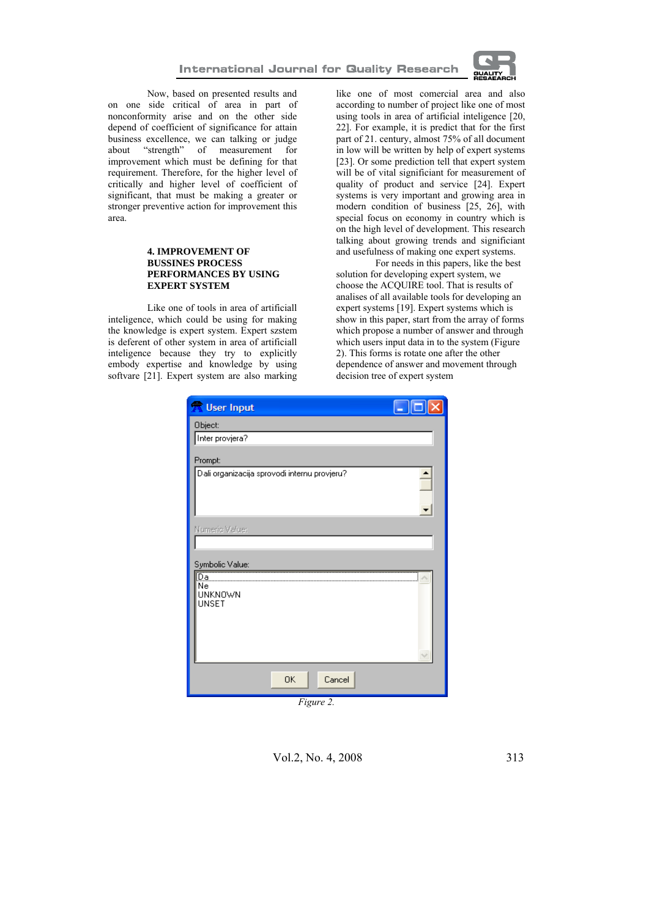

Now, based on presented results and on one side critical of area in part of nonconformity arise and on the other side depend of coefficient of significance for attain business excellence, we can talking or judge<br>about "strength" of measurement for about "strength" of measurement for improvement which must be defining for that requirement. Therefore, for the higher level of critically and higher level of coefficient of significant, that must be making a greater or stronger preventive action for improvement this area.

#### **4. IMPROVEMENT OF BUSSINES PROCESS PERFORMANCES BY USING EXPERT SYSTEM**

Like one of tools in area of artificiall inteligence, which could be using for making the knowledge is expert system. Expert szstem is deferent of other system in area of artificiall inteligence because they try to explicitly embody expertise and knowledge by using softvare [21]. Expert system are also marking

like one of most comercial area and also according to number of project like one of most using tools in area of artificial inteligence [20, 22]. For example, it is predict that for the first part of 21. century, almost 75% of all document in low will be written by help of expert systems [23]. Or some prediction tell that expert system will be of vital significiant for measurement of quality of product and service [24]. Expert systems is very important and growing area in modern condition of business [25, 26], with special focus on economy in country which is on the high level of development. This research talking about growing trends and significiant and usefulness of making one expert systems.

For needs in this papers, like the best solution for developing expert system, we choose the ACQUIRE tool. That is results of analises of all available tools for developing an expert systems [19]. Expert systems which is show in this paper, start from the array of forms which propose a number of answer and through which users input data in to the system (Figure) 2). This forms is rotate one after the other dependence of answer and movement through decision tree of expert system

| <b>X</b> User Input                          |
|----------------------------------------------|
| Object:                                      |
| Inter provjera?                              |
| Prompt:                                      |
| Dali organizacija sprovodi internu provjeru? |
|                                              |
|                                              |
|                                              |
| Numeric Value:                               |
|                                              |
| Symbolic Value:                              |
| <br>Da<br>Ne                                 |
| <b>UNKNOWN</b>                               |
| UNSET                                        |
|                                              |
|                                              |
|                                              |
|                                              |
| <b>OK</b><br>Cancel                          |
| Figure 2.                                    |

Vol.2, No. 4, 2008 313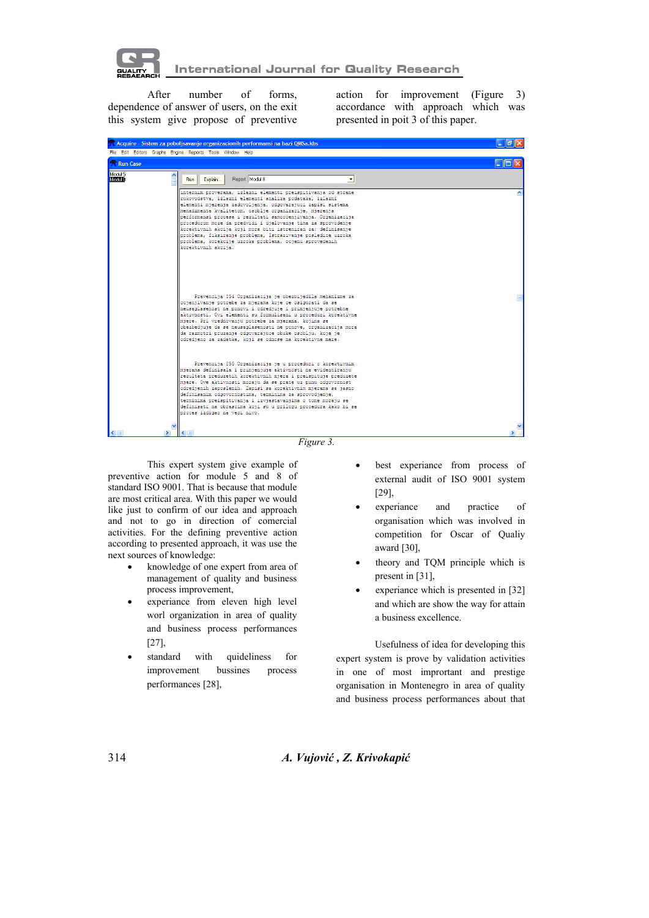

After number of forms, dependence of answer of users, on the exit this system give propose of preventive action for improvement (Figure 3) accordance with approach which was presented in poit 3 of this paper.

| $\lambda$ acquire - Sistem za poporfsavanje organizacionih periormansi na bazi QMSa.KDS |                                                                                                                                                                                                                                                                                                                                                                                                                                                                                                                                                                                                       | ਦਾਰਾ                            |
|-----------------------------------------------------------------------------------------|-------------------------------------------------------------------------------------------------------------------------------------------------------------------------------------------------------------------------------------------------------------------------------------------------------------------------------------------------------------------------------------------------------------------------------------------------------------------------------------------------------------------------------------------------------------------------------------------------------|---------------------------------|
|                                                                                         | File Edit Editors Graphs Engine Reports Tools Window Help                                                                                                                                                                                                                                                                                                                                                                                                                                                                                                                                             |                                 |
| <b>Run Case</b>                                                                         |                                                                                                                                                                                                                                                                                                                                                                                                                                                                                                                                                                                                       | $\overline{L}$ $\overline{u}$ x |
| Modul 5<br>Modul 8                                                                      | Report: Modul 8<br>Explain<br>회<br>Run                                                                                                                                                                                                                                                                                                                                                                                                                                                                                                                                                                |                                 |
|                                                                                         | internim proverama, izlazni elementi preispitivanja od strane<br>rukovodstva, izlazni elementi analiza podataka, izlazni<br>elementi mjerenja zadovoljenja, odgovarajuci zapisi sistema<br>menadzmenta kvalitetom, osoblje organizacije, mjerenja<br>performansi procesa i rezultati samoocenjivanja. Organizacija<br>procedurom moze da predvidi i djelovanje tima za sprovodenje<br>∥korektivnih akcija koji mora biti istreniran za: definisanje<br>problema, fiksiranje problema, Istrazivanje posledice uzroka<br>problema, korekcije uzroka problema, ocjenu sprovedenih<br>korektivnih akcija. |                                 |
|                                                                                         | Prevencija 854 Organizacija je obezbijedila mehanizme za<br>ocjenjivanje potrebe za mjerama koje ce osigurati da se<br>neusaglasenost ne ponovi i odredjuje i primjenjuje potrebne<br>aktivnosti. Ovi elementi su formulisani u proceduri korektivne<br>mjere. Pri vrednovanju potrebe za mjerama, kojima se<br>∥obezbedjuje da se neusaglasenosti ne ponove, organizacija mora<br>da razmotri pruzanje odgovarajuce obuke osoblju, koje je<br>odredjeno za zadatke, koji se odnose na korektivne mere.                                                                                               |                                 |
|                                                                                         | Prevencija 855 Organizacija je u proceduri o korektivnim<br>mjerama definisala i primjenjuje aktivnosti na evidentiranju<br>rezultata preduzetih korektivnih mjera i preispituje preduzete<br>mjere. Ove aktivnosti moraju da se prate uz punu odgovornost<br>odredjenih zaposlenih. Zapisi sa korektivnim mjerama sa jasno<br>definisanim odgovornostima, terminima za sprovodjenje,<br>  terminima preispitivanja i izvjestavanjima o tome moraju se<br>  definisati na obrascima koji su u prilogu procedura kako bi se<br>proces izdigao na veci nivo.                                            |                                 |
|                                                                                         |                                                                                                                                                                                                                                                                                                                                                                                                                                                                                                                                                                                                       | $\blacktriangleright$ $\Box$    |

*Figure 3.* 

This expert system give example of preventive action for module 5 and 8 of standard ISO 9001. That is because that module are most critical area. With this paper we would like just to confirm of our idea and approach and not to go in direction of comercial activities. For the defining preventive action according to presented approach, it was use the next sources of knowledge:

- knowledge of one expert from area of management of quality and business process improvement,
- experiance from eleven high level worl organization in area of quality and business process performances [27],
- standard with quideliness for improvement bussines process performances [28],
- best experiance from process of external audit of ISO 9001 system [29],
- experiance and practice of organisation which was involved in competition for Oscar of Qualiy award [30],
- theory and TQM principle which is present in [31],
- experiance which is presented in [32] and which are show the way for attain a business excellence.

Usefulness of idea for developing this expert system is prove by validation activities in one of most imprortant and prestige organisation in Montenegro in area of quality and business process performances about that

314 *A. Vujović , Z. Krivokapić*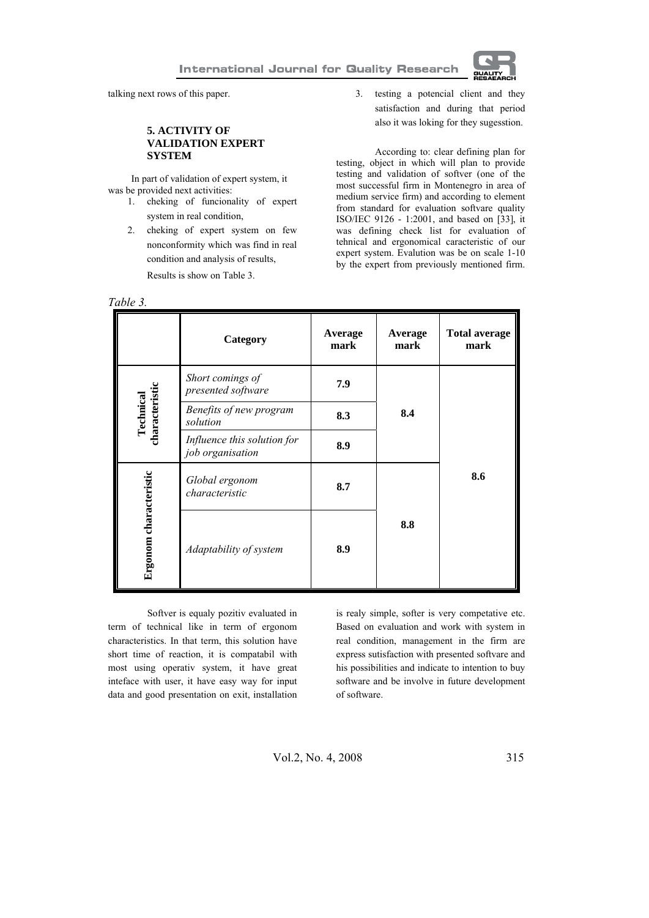

talking next rows of this paper.

### **5. ACTIVITY OF VALIDATION EXPERT SYSTEM**

In part of validation of expert system, it was be provided next activities:

- 1. cheking of funcionality of expert system in real condition,
- 2. cheking of expert system on few nonconformity which was find in real condition and analysis of results, Results is show on Table 3.

*Table 3.*

3. testing a potencial client and they satisfaction and during that period also it was loking for they sugesstion.

According to: clear defining plan for testing, object in which will plan to provide testing and validation of softver (one of the most successful firm in Montenegro in area of medium service firm) and according to element from standard for evaluation softvare quality ISO/IEC 9126 - 1:2001, and based on [33], it was defining check list for evaluation of tehnical and ergonomical caracteristic of our expert system. Evalution was be on scale 1-10 by the expert from previously mentioned firm.

|                             | Category                                        | Average<br>mark | Average<br>mark | <b>Total average</b><br>mark |
|-----------------------------|-------------------------------------------------|-----------------|-----------------|------------------------------|
|                             | Short comings of<br>presented software          | 7.9             | 8.4             |                              |
| characteristic<br>Technical | Benefits of new program<br>solution             | 8.3             |                 |                              |
|                             | Influence this solution for<br>job organisation | 8.9             |                 |                              |
| Ergonom characteristic      | Global ergonom<br>characteristic                | 8.7             | 8.8             | 8.6                          |
|                             | Adaptability of system                          | 8.9             |                 |                              |

Softver is equaly pozitiv evaluated in term of technical like in term of ergonom characteristics. In that term, this solution have short time of reaction, it is compatabil with most using operativ system, it have great inteface with user, it have easy way for input data and good presentation on exit, installation is realy simple, softer is very competative etc. Based on evaluation and work with system in real condition, management in the firm are express sutisfaction with presented softvare and his possibilities and indicate to intention to buy software and be involve in future development of software.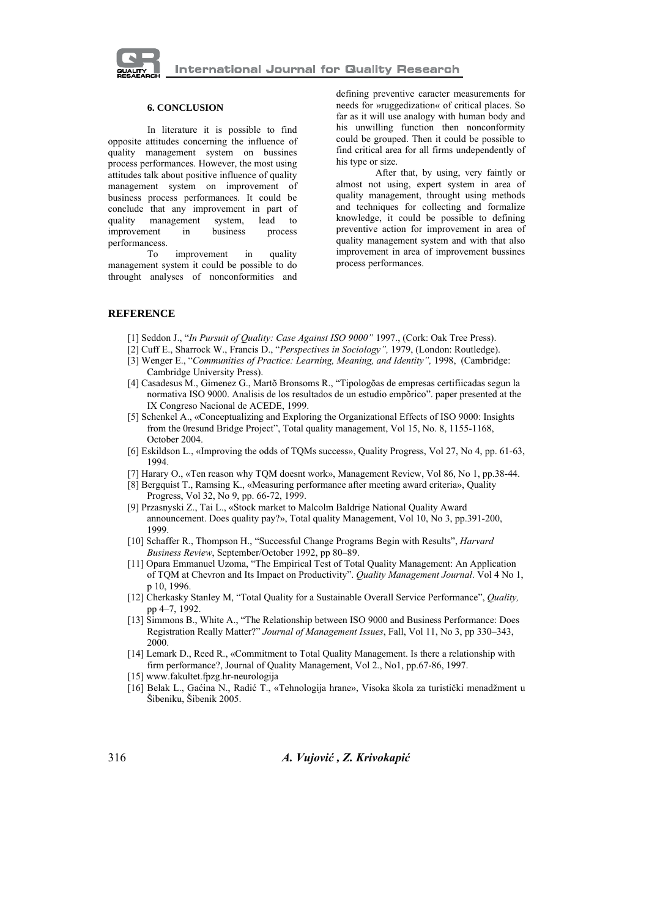

#### **6. CONCLUSION**

In literature it is possible to find opposite attitudes concerning the influence of quality management system on bussines process performances. However, the most using attitudes talk about positive influence of quality management system on improvement of business process performances. It could be conclude that any improvement in part of quality management system, lead to improvement in business process performancess.

To improvement in quality management system it could be possible to do throught analyses of nonconformities and defining preventive caracter measurements for needs for »ruggedization« of critical places. So far as it will use analogy with human body and his unwilling function then nonconformity could be grouped. Then it could be possible to find critical area for all firms undependently of his type or size.

After that, by using, very faintly or almost not using, expert system in area of quality management, throught using methods and techniques for collecting and formalize knowledge, it could be possible to defining preventive action for improvement in area of quality management system and with that also improvement in area of improvement bussines process performances.

#### **REFERENCE**

- [1] Seddon J., "*In Pursuit of Quality: Case Against ISO 9000"* 1997., (Cork: Oak Tree Press).
- [2] Cuff E., Sharrock W., Francis D., "*Perspectives in Sociology",* 1979, (London: Routledge).
- [3] Wenger E., "Communities of Practice: Learning, Meaning, and Identity", 1998, (Cambridge: Cambridge University Press).
- [4] Casadesus M., Gimenez G., Martõ Bronsoms R., "Tipologõas de empresas certifiicadas segun la normativa ISO 9000. Analisis de los resultados de un estudio empõrico". paper presented at the IX Congreso Nacional de ACEDE, 1999.
- [5] Schenkel A., «Conceptualizing and Exploring the Organizational Effects of ISO 9000: Insights from the 0resund Bridge Project", Total quality management, Vol 15, No. 8, 1155-1168, October 2004.
- [6] Eskildson L., «Improving the odds of TQMs success», Quality Progress, Vol 27, No 4, pp. 61-63, 1994.
- [7] Harary O., «Ten reason why TQM doesnt work», Management Review, Vol 86, No 1, pp.38-44.
- [8] Bergquist T., Ramsing K., «Measuring performance after meeting award criteria», Quality Progress, Vol 32, No 9, pp. 66-72, 1999.
- [9] Przasnyski Z., Tai L., «Stock market to Malcolm Baldrige National Quality Award announcement. Does quality pay?», Total quality Management, Vol 10, No 3, pp.391-200, 1999.
- [10] Schaffer R., Thompson H., "Successful Change Programs Begin with Results", *Harvard Business Review*, September/October 1992, pp 80–89.
- [11] Opara Emmanuel Uzoma, "The Empirical Test of Total Quality Management: An Application of TQM at Chevron and Its Impact on Productivity". *Quality Management Journal*. Vol 4 No 1, p 10, 1996.
- [12] Cherkasky Stanley M, "Total Quality for a Sustainable Overall Service Performance", *Quality,*  pp 4–7, 1992.
- [13] Simmons B., White A., "The Relationship between ISO 9000 and Business Performance: Does Registration Really Matter?" *Journal of Management Issues*, Fall, Vol 11, No 3, pp 330–343, 2000.
- [14] Lemark D., Reed R., «Commitment to Total Quality Management. Is there a relationship with firm performance?, Journal of Quality Management, Vol 2., No1, pp.67-86, 1997.
- [15] www.fakultet.fpzg.hr-neurologija
- [16] Belak L., Gaćina N., Radić T., «Tehnologija hrane», Visoka škola za turistički menadžment u Šibeniku, Šibenik 2005.

316 *A. Vujović , Z. Krivokapić*